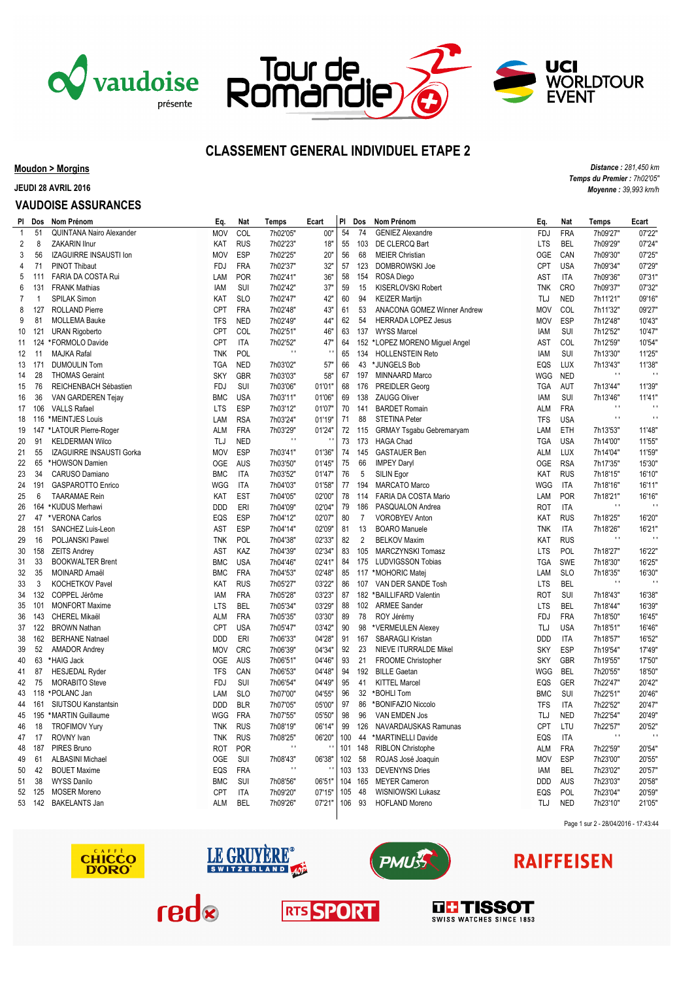





### **CLASSEMENT GENERAL INDIVIDUEL ETAPE 2**

### **Moudon > Morgins**

**JEUDI 28 AVRIL 2016**

#### **VAUDOISE ASSURANCES**

|                | PI Dos         | Nom Prénom               | Eq.        | Nat        | <b>Temps</b> | Ecart        |    | PI Dos |                | Nom Prénom                                   | Eq.        | Nat        | Temps             | Ecart                    |
|----------------|----------------|--------------------------|------------|------------|--------------|--------------|----|--------|----------------|----------------------------------------------|------------|------------|-------------------|--------------------------|
| $\mathbf{1}$   | 51             | QUINTANA Nairo Alexander | <b>MOV</b> | COL        | 7h02'05"     | 00"          | 54 |        | 74             | <b>GENIEZ Alexandre</b>                      | <b>FDJ</b> | <b>FRA</b> | 7h09'27"          | 07'22"                   |
| $\overline{2}$ | 8              | <b>ZAKARIN Ilnur</b>     | KAT        | <b>RUS</b> | 7h02'23"     | 18"          | 55 |        | 103            | DE CLERCQ Bart                               | <b>LTS</b> | <b>BEL</b> | 7h09'29"          | 07'24"                   |
| 3              | 56             | IZAGUIRRE INSAUSTI Ion   | <b>MOV</b> | ESP        | 7h02'25"     | 20"          | 56 |        | 68             | <b>MEIER Christian</b>                       | <b>OGE</b> | CAN        | 7h09'30"          | 07'25"                   |
| 4              | 71             | <b>PINOT Thibaut</b>     | FDJ        | <b>FRA</b> | 7h02'37"     | 32"          | 57 |        | 123            | DOMBROWSKI Joe                               | <b>CPT</b> | <b>USA</b> | 7h09'34"          | 07'29"                   |
| 5              | 111            | FARIA DA COSTA Rui       | LAM        | <b>POR</b> | 7h02'41"     | 36"          | 58 |        | 154            | ROSA Diego                                   | AST        | <b>ITA</b> | 7h09'36"          | 07'31"                   |
| 6              | 131            | <b>FRANK Mathias</b>     | IAM        | <b>SUI</b> | 7h02'42"     | 37"          | 59 |        | 15             | KISERLOVSKI Robert                           | <b>TNK</b> | CRO        | 7h09'37"          | 07'32"                   |
| $\overline{7}$ | $\overline{1}$ | <b>SPILAK Simon</b>      | KAT        | <b>SLO</b> | 7h02'47"     | 42"          | 60 |        | 94             | <b>KEIZER Martijn</b>                        | TLJ        | <b>NED</b> | 7h11'21"          | 09'16"                   |
| 8              | 127            | <b>ROLLAND Pierre</b>    | <b>CPT</b> | <b>FRA</b> | 7h02'48"     | 43"          | 61 |        | 53             | ANACONA GOMEZ Winner Andrew                  | <b>MOV</b> | COL        | 7h11'32"          | 09'27"                   |
| 9              | 81             | <b>MOLLEMA Bauke</b>     | <b>TFS</b> | <b>NED</b> | 7h02'49"     | 44"          | 62 |        | 54             | <b>HERRADA LOPEZ Jesus</b>                   | <b>MOV</b> | <b>ESP</b> | 7h12'48"          | 10'43"                   |
| 10             | 121            | <b>URAN Rigoberto</b>    | <b>CPT</b> | COL        | 7h02'51"     | 46"          | 63 |        |                | 137 WYSS Marcel                              | IAM        | <b>SUI</b> | 7h12'52"          | 10'47"                   |
|                |                | 11 124 *FORMOLO Davide   | CPT        | <b>ITA</b> | 7h02'52"     | 47'          | 64 |        |                | 152 *LOPEZ MORENO Miguel Angel               | AST        | COL        | 7h12'59"          | 10'54"                   |
| 12             | 11             | <b>MAJKA Rafal</b>       | TNK        | POL        | $\mathbf{r}$ | $\mathbf{u}$ | 65 |        | 134            | <b>HOLLENSTEIN Reto</b>                      | IAM        | SUI        | 7h13'30"          | 11'25"                   |
|                | 13 171         | <b>DUMOULIN Tom</b>      | TGA        | <b>NED</b> | 7h03'02"     | 57"          | 66 |        |                | 43 *JUNGELS Bob                              | EQS        | LUX        | 7h13'43"          | 11'38"                   |
| 14             | 28             | <b>THOMAS Geraint</b>    | <b>SKY</b> | <b>GBR</b> | 7h03'03"     | 58"          | 67 |        | 197            | MINNAARD Marco                               | WGG        | <b>NED</b> | $\pm$             | $\mathbf{H}$             |
| 15             | 76             | REICHENBACH Sébastien    | <b>FDJ</b> | SUI        | 7h03'06"     | 01'01"       | 68 |        | 176            | <b>PREIDLER Georg</b>                        | TGA        | AUT        | 7h13'44"          | 11'39"                   |
| 16             | 36             | VAN GARDEREN Tejay       | <b>BMC</b> | <b>USA</b> | 7h03'11"     | 01'06"       | 69 |        | 138            | <b>ZAUGG Oliver</b>                          | IAM        | SUI        | 7h13'46"          | 11'41"                   |
| 17             | 106            | <b>VALLS Rafael</b>      | <b>LTS</b> | <b>ESP</b> | 7h03'12"     | 01'07"       | 70 |        | 141            | <b>BARDET Romain</b>                         | ALM        | <b>FRA</b> | $\pm$ 1           | $\overline{\phantom{a}}$ |
| 18             |                | 116 *MEINTJES Louis      | LAM        | <b>RSA</b> | 7h03'24"     | 01'19"       | 71 |        | 88             | <b>STETINA Peter</b>                         | <b>TFS</b> | <b>USA</b> | $\mathbf{r}$      | $\bar{\mathbf{r}}$ (     |
| 19             |                | 147 *LATOUR Pierre-Roger | <b>ALM</b> | <b>FRA</b> | 7h03'29"     | 01'24"       |    | 72 115 |                |                                              | LAM        | ETH        | 7h13'53"          | 11'48"                   |
| 20             | 91             | <b>KELDERMAN Wilco</b>   | TLJ        | <b>NED</b> | $\pm$        | $\mathbf{r}$ | 73 |        | 173            | GRMAY Tsgabu Gebremaryam<br><b>HAGA Chad</b> | TGA        | <b>USA</b> | 7h14'00"          | 11'55"                   |
|                | 55             | IZAGUIRRE INSAUSTI Gorka | <b>MOV</b> | ESP        | 7h03'41"     | 01'36"       | 74 |        | 145            | <b>GASTAUER Ben</b>                          | ALM        | <b>LUX</b> | 7h14'04"          | 11'59"                   |
| 21             |                |                          |            |            |              |              |    |        |                |                                              |            |            |                   |                          |
| 22             | 65             | *HOWSON Damien           | <b>OGE</b> | <b>AUS</b> | 7h03'50"     | 01'45"       | 75 |        | 66             | <b>IMPEY Daryl</b>                           | <b>OGE</b> | <b>RSA</b> | 7h17'35"          | 15'30"                   |
| 23             | 34             | CARUSO Damiano           | <b>BMC</b> | <b>ITA</b> | 7h03'52"     | 01'47"       | 76 |        | 5              | SILIN Egor                                   | KAT        | <b>RUS</b> | 7h18'15"          | 16'10"                   |
| 24             | 191            | <b>GASPAROTTO Enrico</b> | WGG        | <b>ITA</b> | 7h04'03"     | 01'58"       | 77 |        | 194            | <b>MARCATO Marco</b>                         | WGG        | ITA        | 7h18'16"          | 16'11"                   |
| 25             | 6              | <b>TAARAMAE Rein</b>     | KAT        | <b>EST</b> | 7h04'05"     | 02'00"       | 78 |        | 114            | FARIA DA COSTA Mario                         | LAM        | <b>POR</b> | 7h18'21"<br>$\pm$ | 16'16"<br>$\pm$          |
| 26             |                | 164 *KUDUS Merhawi       | DDD        | ERI        | 7h04'09"     | 02'04"       | 79 |        | 186            | PASQUALON Andrea                             | ROT        | ITA        |                   |                          |
| 27             |                | 47 *VERONA Carlos        | EQS        | <b>ESP</b> | 7h04'12"     | 02'07"       | 80 |        | $\overline{7}$ | <b>VOROBYEV Anton</b>                        | KAT        | <b>RUS</b> | 7h18'25"          | 16'20"                   |
| 28             | 151            | SANCHEZ Luis-Leon        | AST        | <b>ESP</b> | 7h04'14"     | 02'09"       | 81 |        | 13             | <b>BOARO</b> Manuele                         | <b>TNK</b> | <b>ITA</b> | 7h18'26"          | 16'21"<br>$\mathbf{H}$   |
| 29             | 16             | POLJANSKI Pawel          | TNK        | POL        | 7h04'38"     | 02'33"       | 82 |        | $\overline{2}$ | <b>BELKOV Maxim</b>                          | KAT        | <b>RUS</b> | $\mathbf{H}$      |                          |
| 30             | 158            | <b>ZEITS Andrey</b>      | <b>AST</b> | KAZ        | 7h04'39"     | 02'34"       | 83 |        | 105            | MARCZYNSKI Tomasz                            | <b>LTS</b> | <b>POL</b> | 7h18'27"          | 16'22"                   |
| 31             | 33             | <b>BOOKWALTER Brent</b>  | <b>BMC</b> | <b>USA</b> | 7h04'46"     | 02'41'       | 84 |        | 175            | <b>LUDVIGSSON Tobias</b>                     | <b>TGA</b> | SWE        | 7h18'30"          | 16'25"                   |
| 32             | 35             | MOINARD Amaël            | <b>BMC</b> | <b>FRA</b> | 7h04'53"     | 02'48"       | 85 |        |                | 117 *MOHORIC Matej                           | LAM        | <b>SLO</b> | 7h18'35"          | 16'30"                   |
| 33             | 3              | <b>KOCHETKOV Pavel</b>   | KAT        | <b>RUS</b> | 7h05'27"     | 03'22"       | 86 |        |                | 107 VAN DER SANDE Tosh                       | LTS        | <b>BEL</b> | $\pm$             | $\pm$ 1                  |
| 34             | 132            | COPPEL Jérôme            | IAM        | <b>FRA</b> | 7h05'28"     | 03'23"       | 87 |        |                | 182 *BAILLIFARD Valentin                     | ROT        | <b>SUI</b> | 7h18'43"          | 16'38"                   |
| 35             | 101            | <b>MONFORT Maxime</b>    | <b>LTS</b> | <b>BEL</b> | 7h05'34"     | 03'29"       | 88 |        | 102            | <b>ARMEE Sander</b>                          | <b>LTS</b> | <b>BEL</b> | 7h18'44"          | 16'39"                   |
| 36             | 143            | CHEREL Mikaël            | ALM        | <b>FRA</b> | 7h05'35"     | 03'30"       | 89 |        | 78             | ROY Jérémy                                   | FDJ        | <b>FRA</b> | 7h18'50"          | 16'45"                   |
| 37             | 122            | <b>BROWN Nathan</b>      | CPT        | <b>USA</b> | 7h05'47"     | 03'42"       | 90 |        |                | 98 *VERMEULEN Alexey                         | TLJ        | <b>USA</b> | 7h18'51"          | 16'46"                   |
| 38             | 162            | <b>BERHANE Natnael</b>   | <b>DDD</b> | ERI        | 7h06'33"     | 04'28"       | 91 |        | 167            | <b>SBARAGLI Kristan</b>                      | <b>DDD</b> | <b>ITA</b> | 7h18'57"          | 16'52"                   |
| 39             | 52             | <b>AMADOR Andrey</b>     | <b>MOV</b> | <b>CRC</b> | 7h06'39"     | 04'34"       | 92 |        | 23             | <b>NIEVE ITURRALDE Mikel</b>                 | <b>SKY</b> | <b>ESP</b> | 7h19'54"          | 17'49"                   |
| 40             | 63             | *HAIG Jack               | <b>OGE</b> | <b>AUS</b> | 7h06'51"     | 04'46"       | 93 |        | 21             | FROOME Christopher                           | <b>SKY</b> | <b>GBR</b> | 7h19'55"          | 17'50"                   |
| 41             | 87             | <b>HESJEDAL Ryder</b>    | TFS        | CAN        | 7h06'53"     | 04'48"       | 94 |        | 192            | <b>BILLE Gaetan</b>                          | WGG        | <b>BEL</b> | 7h20'55"          | 18'50"                   |
| 42             | 75             | <b>MORABITO Steve</b>    | <b>FDJ</b> | <b>SUI</b> | 7h06'54"     | 04'49"       | 95 |        | 41             | <b>KITTEL Marcel</b>                         | EQS        | <b>GER</b> | 7h22'47"          | 20'42"                   |
| 43             |                | 118 *POLANC Jan          | LAM        | <b>SLO</b> | 7h07'00"     | 04'55"       | 96 |        |                | 32 *BOHLI Tom                                | <b>BMC</b> | <b>SUI</b> | 7h22'51"          | 20'46"                   |
| 44             |                | 161 SIUTSOU Kanstantsin  | <b>DDD</b> | <b>BLR</b> | 7h07'05"     | 05'00"       | 97 |        | 86             | *BONIFAZIO Niccolo                           | <b>TFS</b> | <b>ITA</b> | 7h22'52"          | 20'47"                   |
| 45             |                | 195 *MARTIN Guillaume    | WGG        | <b>FRA</b> | 7h07'55"     | 05'50"       | 98 |        | 96             | VAN EMDEN Jos                                | TLJ        | <b>NED</b> | 7h22'54"          | 20'49"                   |
| 46             | 18             | <b>TROFIMOV Yury</b>     | <b>TNK</b> | <b>RUS</b> | 7h08'19"     | 06'14"       | 99 |        | 126            | NAVARDAUSKAS Ramunas                         | <b>CPT</b> | LTU        | 7h22'57"          | 20'52"                   |
|                |                | 47 17 ROVNY Ivan         |            | TNK RIIS   | 7h08'25"     | กละวก"       |    |        |                | 100 44 *MARTINELLI Davide                    | $FOS$ ITA  |            | $\overline{1}$    | $\pm$                    |

| <b>Distance: 281.450 km</b> |
|-----------------------------|
| Temps du Premier : 7h02'05" |
| <b>Moyenne: 39,993 km/h</b> |

Page 1 sur 2 - 28/04/2016 - 17:43:44

**RAIFFEISEN** 







 101 148 RIBLON Christophe ALM FRA 7h22'59" 20'54" 102 58 ROJAS José Joaquin MOV ESP 7h23'00" 20'55" 103 133 DEVENYNS Dries IAM BEL 7h23'02" 20'57" 104 165 MEYER Cameron DDD AUS 7h23'03" 20'58" 105 48 WISNIOWSKI Lukasz EQS POL 7h23'04" 20'59" 106 93 HOFLAND Moreno TLJ NED 7h23'10" 21'05"



48 187 PIRES Bruno **ROT POR ''** '' '' 49 61 ALBASINI Michael OGE SUI 7h08'43" 06'38" 50 42 BOUET Maxime EQS FRA ' ' ' ' 51 38 WYSS Danilo BMC SUI 7h08'56" 06'51" 52 125 MOSER Moreno CPT ITA 7h09'20" 07'15" 53 142 BAKELANTS Jan ALM BEL 7h09'26" 07'21"